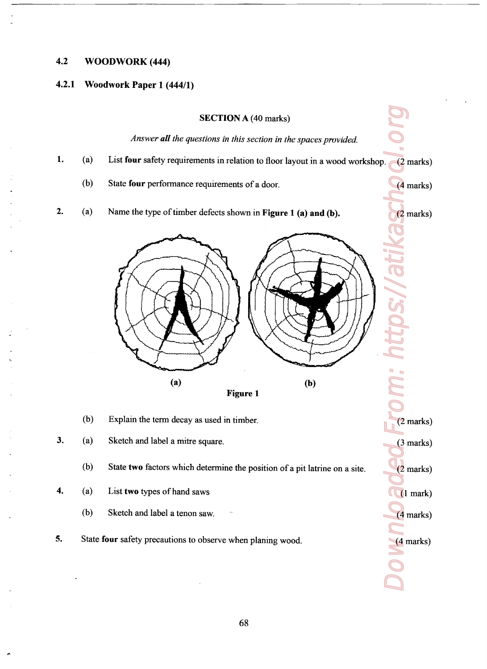## 4.2 WOODWORK (444)

## 4.2.1 Woodwork Paper <sup>1</sup> (444/1)

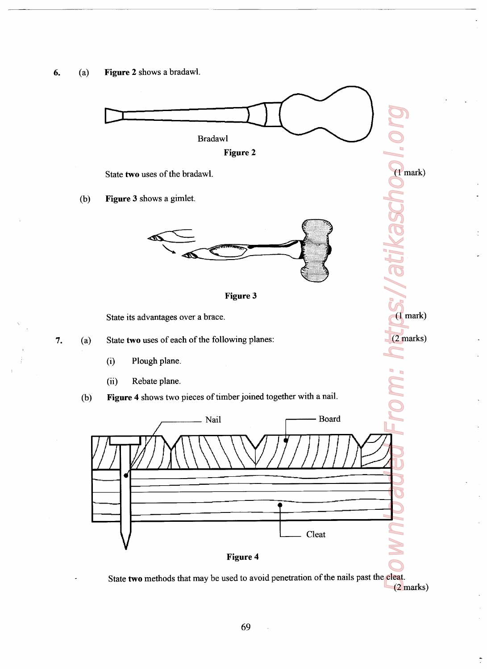



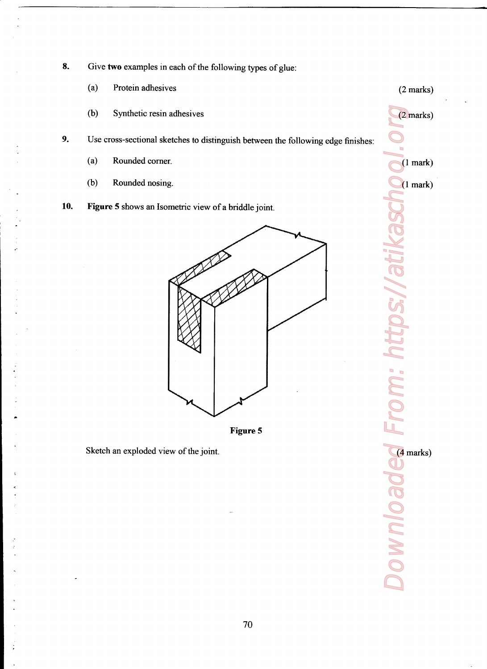- 8. Give two examples in each of the following types of glue:
	- (a) Protein adhesives (2 marks)
	- (b) Synthetic resin adhesives (2 marks)
- Use crass-sectional sketches to distinguish between the following edge finishes: 9.
	- (a) Rounded corner. (1 mark)
	- (b) Rounded nosing. (1 mark)
- 10. Figure 5 shows an Isometric view of a briddle joint.



Figure 5

Sketch an exploded view of the joint. (4 marks)

おんれい しょうしょう

Downloaded From: https://atikaschool.org https://atil  $\ddot{\phantom{1}}$ **Download**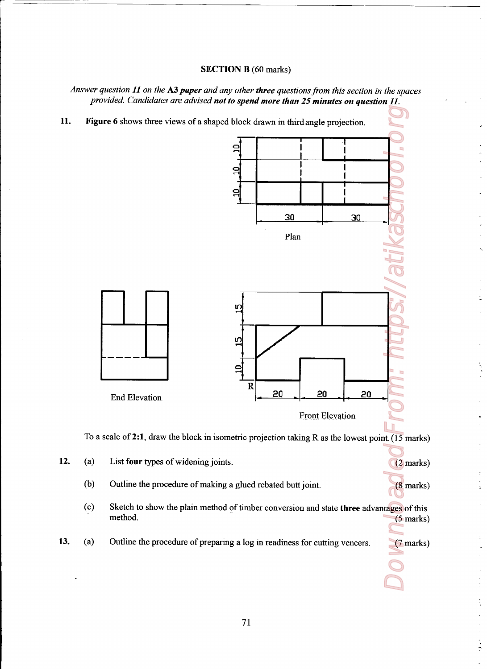## SECTION B (60 marks)

Answer question  $11$  on the A3 paper and any other three questions from this section in the spaces provided. Candidates are advised not to spend more than 25 minutes on question 11.



To a scale of 2:1, draw the block in isometric projection taking R as the lowest point.  $(15 \text{ marks})$ 

 $\geq$ 

12. (a) List four types of widening joints. (2 marks) (b) Outline the procedure of making a glued rebated butt joint. (8 marks) (c) Sketch to show the plain method of timber conversion and state three advantages of this method. (5 marks) 13. (a) Outline the procedure of preparing a log in readiness for cutting veneers. (7 marks)

the contract of the contract of the contract of the contract of the contract of the contract of the contract of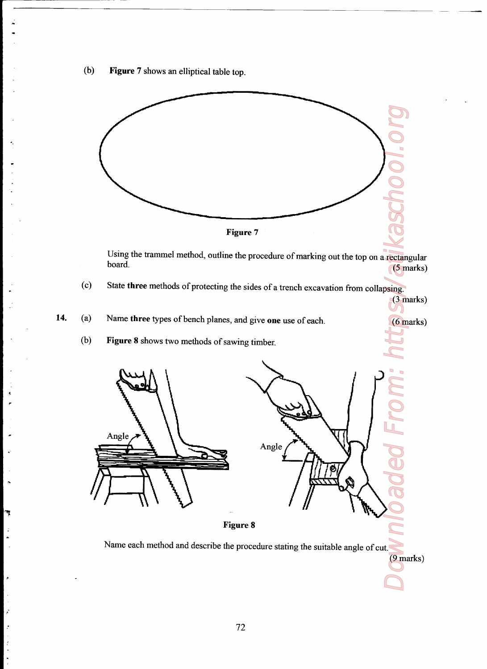(b) Figure 7 shows an elliptical table top.



Using the trammel method, outline the procedure of marking out the top on a rectangular board. (5 marks)

State three methods of protecting the sides of a trench excavation From collapsing.  $(c)$ 

 14. (a) (3 marks) Name three types of bench planes, and give one use of each. (6 marks)

> 0)) Figure 8 shows two methods of sawing timber.

٦Ţ

ż ż

 $\mathcal{E}$ 



Figure 8

Name each method and describe the procedure stating the suitable angle of cut,

(9 marks)